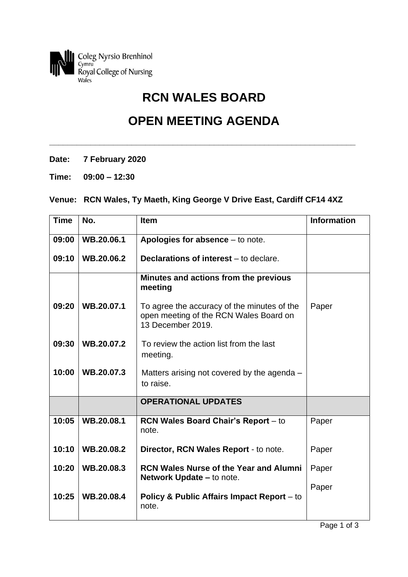

## **RCN WALES BOARD**

## **OPEN MEETING AGENDA**

**\_\_\_\_\_\_\_\_\_\_\_\_\_\_\_\_\_\_\_\_\_\_\_\_\_\_\_\_\_\_\_\_\_\_\_\_\_\_\_\_\_\_\_\_\_\_\_\_\_\_\_\_\_\_\_\_\_\_\_\_\_\_\_\_\_\_\_**

- **Date: 7 February 2020**
- **Time: 09:00 – 12:30**

## **Venue: RCN Wales, Ty Maeth, King George V Drive East, Cardiff CF14 4XZ**

| <b>Time</b> | No.        | <b>Item</b>                                                                                                | <b>Information</b> |
|-------------|------------|------------------------------------------------------------------------------------------------------------|--------------------|
| 09:00       | WB.20.06.1 | Apologies for absence – to note.                                                                           |                    |
| 09:10       | WB.20.06.2 | <b>Declarations of interest</b> – to declare.                                                              |                    |
|             |            | Minutes and actions from the previous<br>meeting                                                           |                    |
| 09:20       | WB.20.07.1 | To agree the accuracy of the minutes of the<br>open meeting of the RCN Wales Board on<br>13 December 2019. | Paper              |
| 09:30       | WB.20.07.2 | To review the action list from the last<br>meeting.                                                        |                    |
| 10:00       | WB.20.07.3 | Matters arising not covered by the agenda –<br>to raise.                                                   |                    |
|             |            | <b>OPERATIONAL UPDATES</b>                                                                                 |                    |
| 10:05       | WB.20.08.1 | <b>RCN Wales Board Chair's Report - to</b><br>note.                                                        | Paper              |
| 10:10       | WB.20.08.2 | Director, RCN Wales Report - to note.                                                                      | Paper              |
| 10:20       | WB.20.08.3 | <b>RCN Wales Nurse of the Year and Alumni</b><br><b>Network Update – to note.</b>                          | Paper              |
| 10:25       | WB.20.08.4 | <b>Policy &amp; Public Affairs Impact Report - to</b><br>note.                                             | Paper              |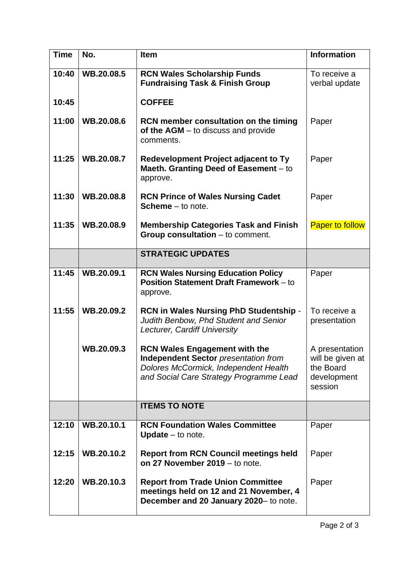| <b>Time</b> | No.        | Item                                                                                                                                                                    | <b>Information</b>                                                        |
|-------------|------------|-------------------------------------------------------------------------------------------------------------------------------------------------------------------------|---------------------------------------------------------------------------|
| 10:40       | WB.20.08.5 | <b>RCN Wales Scholarship Funds</b><br><b>Fundraising Task &amp; Finish Group</b>                                                                                        | To receive a<br>verbal update                                             |
| 10:45       |            | <b>COFFEE</b>                                                                                                                                                           |                                                                           |
| 11:00       | WB.20.08.6 | <b>RCN member consultation on the timing</b><br>of the $AGM -$ to discuss and provide<br>comments.                                                                      | Paper                                                                     |
| 11:25       | WB.20.08.7 | Redevelopment Project adjacent to Ty<br>Maeth. Granting Deed of Easement - to<br>approve.                                                                               | Paper                                                                     |
| 11:30       | WB.20.08.8 | <b>RCN Prince of Wales Nursing Cadet</b><br><b>Scheme</b> $-$ to note.                                                                                                  | Paper                                                                     |
| 11:35       | WB.20.08.9 | <b>Membership Categories Task and Finish</b><br>Group consultation $-$ to comment.                                                                                      | <b>Paper to follow</b>                                                    |
|             |            | <b>STRATEGIC UPDATES</b>                                                                                                                                                |                                                                           |
| 11:45       | WB.20.09.1 | <b>RCN Wales Nursing Education Policy</b><br>Position Statement Draft Framework - to<br>approve.                                                                        | Paper                                                                     |
| 11:55       | WB.20.09.2 | RCN in Wales Nursing PhD Studentship -<br>Judith Benbow, Phd Student and Senior<br>Lecturer, Cardiff University                                                         | To receive a<br>presentation                                              |
|             | WB.20.09.3 | <b>RCN Wales Engagement with the</b><br><b>Independent Sector presentation from</b><br>Dolores McCormick, Independent Health<br>and Social Care Strategy Programme Lead | A presentation<br>will be given at<br>the Board<br>development<br>session |
|             |            | <b>ITEMS TO NOTE</b>                                                                                                                                                    |                                                                           |
| 12:10       | WB.20.10.1 | <b>RCN Foundation Wales Committee</b><br><b>Update</b> $-$ to note.                                                                                                     | Paper                                                                     |
| 12:15       | WB.20.10.2 | <b>Report from RCN Council meetings held</b><br>on 27 November 2019 – to note.                                                                                          | Paper                                                                     |
| 12:20       | WB.20.10.3 | <b>Report from Trade Union Committee</b><br>meetings held on 12 and 21 November, 4<br>December and 20 January 2020- to note.                                            | Paper                                                                     |